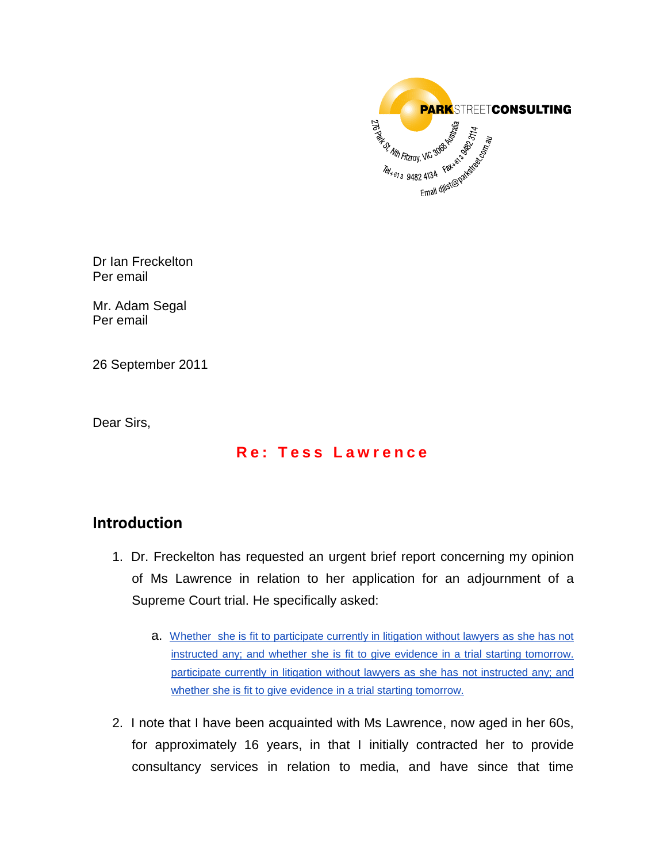

Dr Ian Freckelton Per email

Mr. Adam Segal Per email

26 September 2011

Dear Sirs,

# **R e : T e s s L a w r e n c e**

# **Introduction**

- 1. Dr. Freckelton has requested an urgent brief report concerning my opinion of Ms Lawrence in relation to her application for an adjournment of a Supreme Court trial. He specifically asked:
	- a. Whether she is fit to participate currently in litigation without lawyers as she has not instructed any; and whether she is fit to give evidence in a trial starting tomorrow. participate currently in litigation without lawyers as she has not instructed any; and whether she is fit to give evidence in a trial starting tomorrow.
- 2. I note that I have been acquainted with Ms Lawrence, now aged in her 60s, for approximately 16 years, in that I initially contracted her to provide consultancy services in relation to media, and have since that time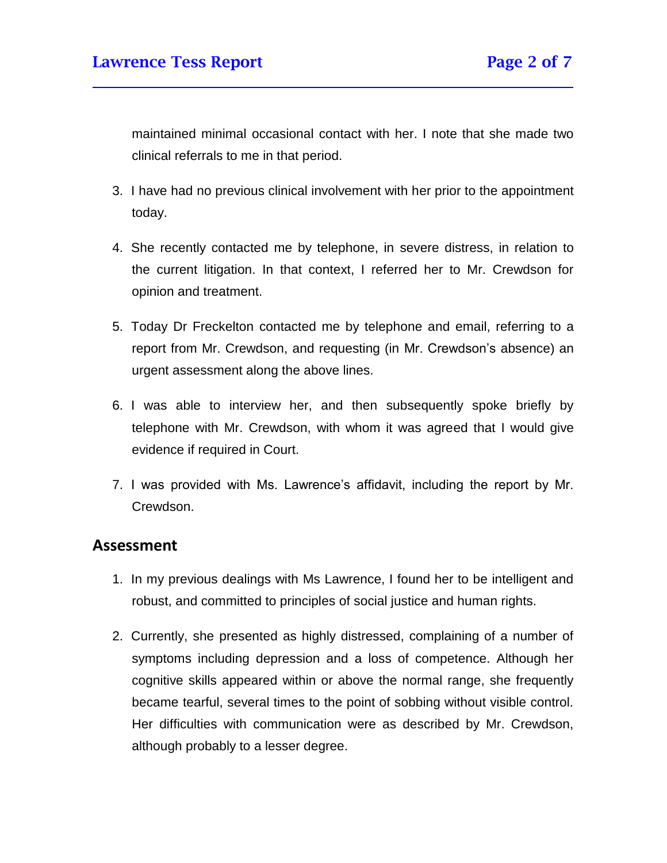maintained minimal occasional contact with her. I note that she made two clinical referrals to me in that period.

- 3. I have had no previous clinical involvement with her prior to the appointment today.
- 4. She recently contacted me by telephone, in severe distress, in relation to the current litigation. In that context, I referred her to Mr. Crewdson for opinion and treatment.
- 5. Today Dr Freckelton contacted me by telephone and email, referring to a report from Mr. Crewdson, and requesting (in Mr. Crewdson's absence) an urgent assessment along the above lines.
- 6. I was able to interview her, and then subsequently spoke briefly by telephone with Mr. Crewdson, with whom it was agreed that I would give evidence if required in Court.
- 7. I was provided with Ms. Lawrence's affidavit, including the report by Mr. Crewdson.

### **Assessment**

- 1. In my previous dealings with Ms Lawrence, I found her to be intelligent and robust, and committed to principles of social justice and human rights.
- 2. Currently, she presented as highly distressed, complaining of a number of symptoms including depression and a loss of competence. Although her cognitive skills appeared within or above the normal range, she frequently became tearful, several times to the point of sobbing without visible control. Her difficulties with communication were as described by Mr. Crewdson, although probably to a lesser degree.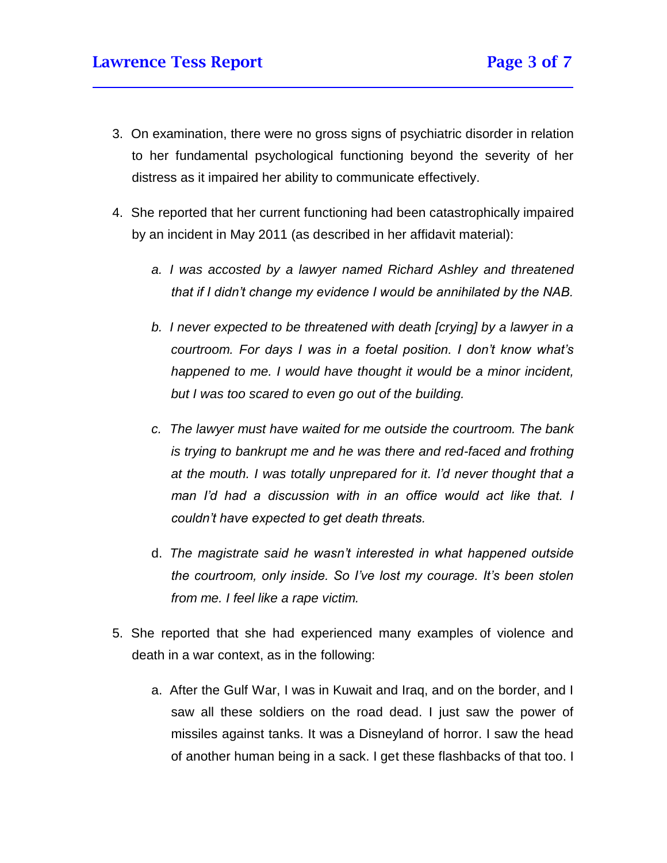- 3. On examination, there were no gross signs of psychiatric disorder in relation to her fundamental psychological functioning beyond the severity of her distress as it impaired her ability to communicate effectively.
- 4. She reported that her current functioning had been catastrophically impaired by an incident in May 2011 (as described in her affidavit material):
	- *a. I was accosted by a lawyer named Richard Ashley and threatened that if I didn't change my evidence I would be annihilated by the NAB.*
	- *b. I never expected to be threatened with death [crying] by a lawyer in a courtroom. For days I was in a foetal position. I don't know what's happened to me. I would have thought it would be a minor incident, but I was too scared to even go out of the building.*
	- *c. The lawyer must have waited for me outside the courtroom. The bank is trying to bankrupt me and he was there and red-faced and frothing at the mouth. I was totally unprepared for it. I'd never thought that a man I'd had a discussion with in an office would act like that. I couldn't have expected to get death threats.*
	- d. *The magistrate said he wasn't interested in what happened outside the courtroom, only inside. So I've lost my courage. It's been stolen from me. I feel like a rape victim.*
- 5. She reported that she had experienced many examples of violence and death in a war context, as in the following:
	- a. After the Gulf War, I was in Kuwait and Iraq, and on the border, and I saw all these soldiers on the road dead. I just saw the power of missiles against tanks. It was a Disneyland of horror. I saw the head of another human being in a sack. I get these flashbacks of that too. I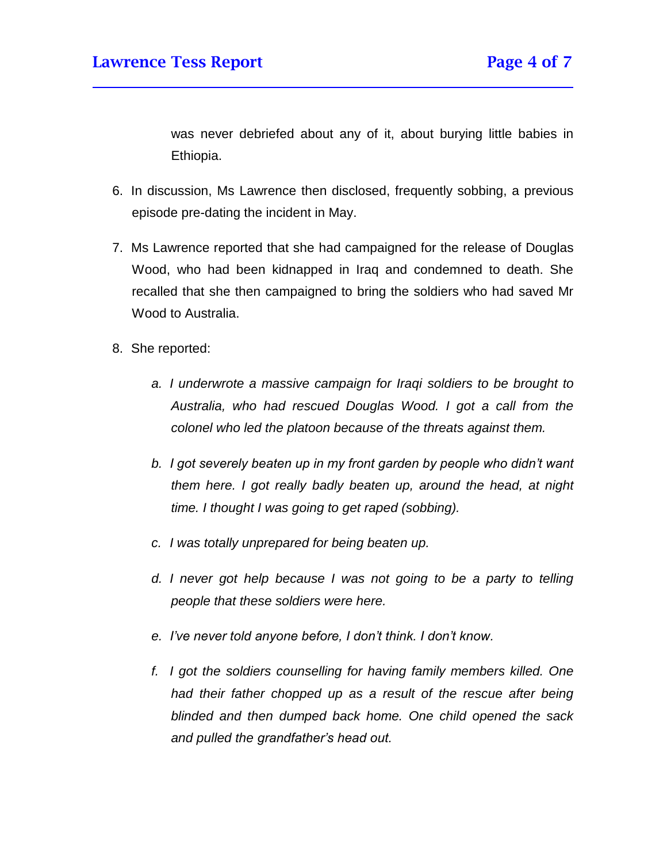was never debriefed about any of it, about burying little babies in Ethiopia.

- 6. In discussion, Ms Lawrence then disclosed, frequently sobbing, a previous episode pre-dating the incident in May.
- 7. Ms Lawrence reported that she had campaigned for the release of Douglas Wood, who had been kidnapped in Iraq and condemned to death. She recalled that she then campaigned to bring the soldiers who had saved Mr Wood to Australia.
- 8. She reported:
	- *a. I underwrote a massive campaign for Iraqi soldiers to be brought to Australia, who had rescued Douglas Wood. I got a call from the colonel who led the platoon because of the threats against them.*
	- *b. I got severely beaten up in my front garden by people who didn't want them here. I got really badly beaten up, around the head, at night time. I thought I was going to get raped (sobbing).*
	- *c. I was totally unprepared for being beaten up.*
	- *d. I never got help because I was not going to be a party to telling people that these soldiers were here.*
	- *e. I've never told anyone before, I don't think. I don't know.*
	- *f. I got the soldiers counselling for having family members killed. One had their father chopped up as a result of the rescue after being blinded and then dumped back home. One child opened the sack and pulled the grandfather's head out.*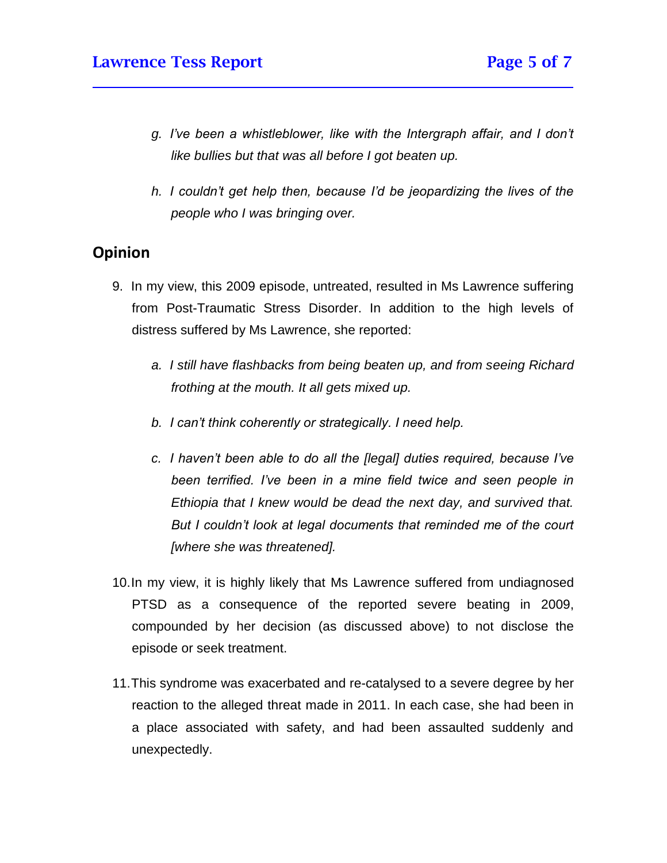- *g. I've been a whistleblower, like with the Intergraph affair, and I don't like bullies but that was all before I got beaten up.*
- *h. I couldn't get help then, because I'd be jeopardizing the lives of the people who I was bringing over.*

# **Opinion**

- 9. In my view, this 2009 episode, untreated, resulted in Ms Lawrence suffering from Post-Traumatic Stress Disorder. In addition to the high levels of distress suffered by Ms Lawrence, she reported:
	- *a. I still have flashbacks from being beaten up, and from seeing Richard frothing at the mouth. It all gets mixed up.*
	- *b. I can't think coherently or strategically. I need help.*
	- *c. I haven't been able to do all the [legal] duties required, because I've been terrified. I've been in a mine field twice and seen people in Ethiopia that I knew would be dead the next day, and survived that. But I couldn't look at legal documents that reminded me of the court [where she was threatened].*
- 10.In my view, it is highly likely that Ms Lawrence suffered from undiagnosed PTSD as a consequence of the reported severe beating in 2009, compounded by her decision (as discussed above) to not disclose the episode or seek treatment.
- 11.This syndrome was exacerbated and re-catalysed to a severe degree by her reaction to the alleged threat made in 2011. In each case, she had been in a place associated with safety, and had been assaulted suddenly and unexpectedly.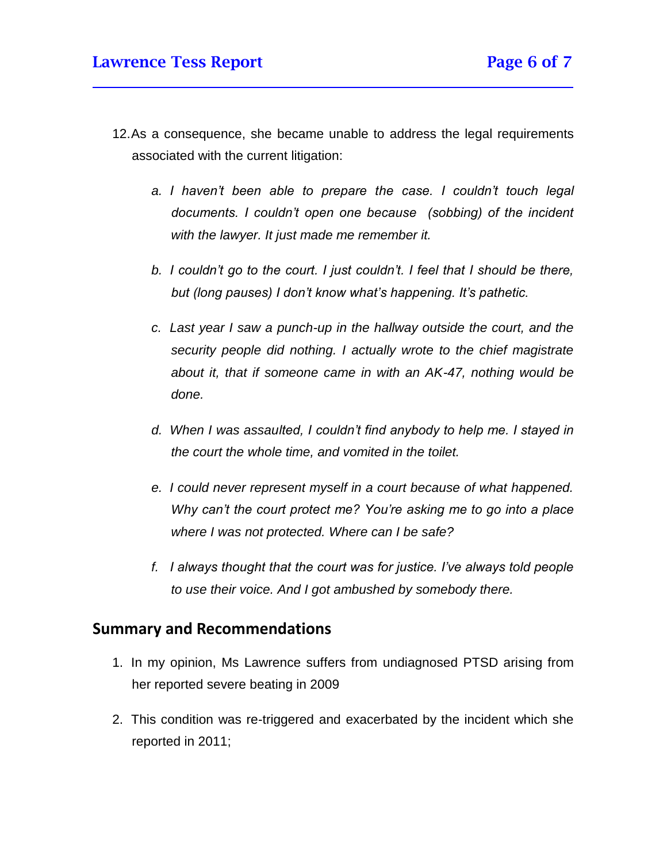- 12.As a consequence, she became unable to address the legal requirements associated with the current litigation:
	- *a. I haven't been able to prepare the case. I couldn't touch legal documents. I couldn't open one because (sobbing) of the incident with the lawyer. It just made me remember it.*
	- *b. I couldn't go to the court. I just couldn't. I feel that I should be there, but (long pauses) I don't know what's happening. It's pathetic.*
	- *c. Last year I saw a punch-up in the hallway outside the court, and the security people did nothing. I actually wrote to the chief magistrate about it, that if someone came in with an AK-47, nothing would be done.*
	- *d. When I was assaulted, I couldn't find anybody to help me. I stayed in the court the whole time, and vomited in the toilet.*
	- *e. I could never represent myself in a court because of what happened. Why can't the court protect me? You're asking me to go into a place where I was not protected. Where can I be safe?*
	- *f. I always thought that the court was for justice. I've always told people to use their voice. And I got ambushed by somebody there.*

# **Summary and Recommendations**

- 1. In my opinion, Ms Lawrence suffers from undiagnosed PTSD arising from her reported severe beating in 2009
- 2. This condition was re-triggered and exacerbated by the incident which she reported in 2011;